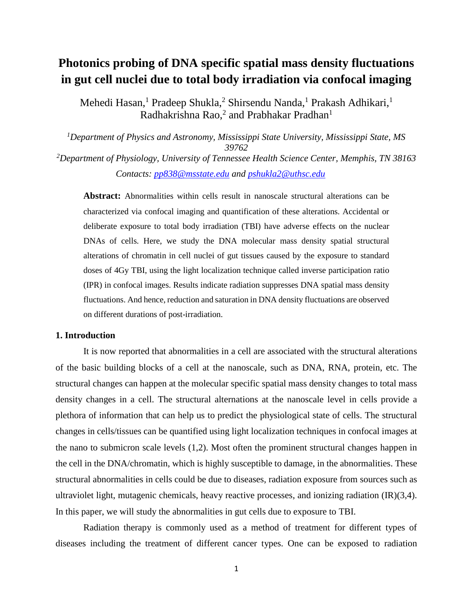# **Photonics probing of DNA specific spatial mass density fluctuations in gut cell nuclei due to total body irradiation via confocal imaging**

Mehedi Hasan,<sup>1</sup> Pradeep Shukla,<sup>2</sup> Shirsendu Nanda,<sup>1</sup> Prakash Adhikari,<sup>1</sup> Radhakrishna Rao,<sup>2</sup> and Prabhakar Pradhan<sup>1</sup>

*<sup>1</sup>Department of Physics and Astronomy, Mississippi State University, Mississippi State, MS 39762 <sup>2</sup>Department of Physiology, University of Tennessee Health Science Center, Memphis, TN 38163*

*Contacts: [pp838@msstate.edu](mailto:pp838@msstate.edu) and [pshukla2@uthsc.edu](mailto:pshukla2@uthsc.edu)*

**Abstract:** Abnormalities within cells result in nanoscale structural alterations can be characterized via confocal imaging and quantification of these alterations. Accidental or deliberate exposure to total body irradiation (TBI) have adverse effects on the nuclear DNAs of cells. Here, we study the DNA molecular mass density spatial structural alterations of chromatin in cell nuclei of gut tissues caused by the exposure to standard doses of 4Gy TBI, using the light localization technique called inverse participation ratio (IPR) in confocal images. Results indicate radiation suppresses DNA spatial mass density fluctuations. And hence, reduction and saturation in DNA density fluctuations are observed on different durations of post-irradiation.

# **1. Introduction**

It is now reported that abnormalities in a cell are associated with the structural alterations of the basic building blocks of a cell at the nanoscale, such as DNA, RNA, protein, etc. The structural changes can happen at the molecular specific spatial mass density changes to total mass density changes in a cell. The structural alternations at the nanoscale level in cells provide a plethora of information that can help us to predict the physiological state of cells. The structural changes in cells/tissues can be quantified using light localization techniques in confocal images at the nano to submicron scale levels (1,2). Most often the prominent structural changes happen in the cell in the DNA/chromatin, which is highly susceptible to damage, in the abnormalities. These structural abnormalities in cells could be due to diseases, radiation exposure from sources such as ultraviolet light, mutagenic chemicals, heavy reactive processes, and ionizing radiation (IR)(3,4). In this paper, we will study the abnormalities in gut cells due to exposure to TBI.

Radiation therapy is commonly used as a method of treatment for different types of diseases including the treatment of different cancer types. One can be exposed to radiation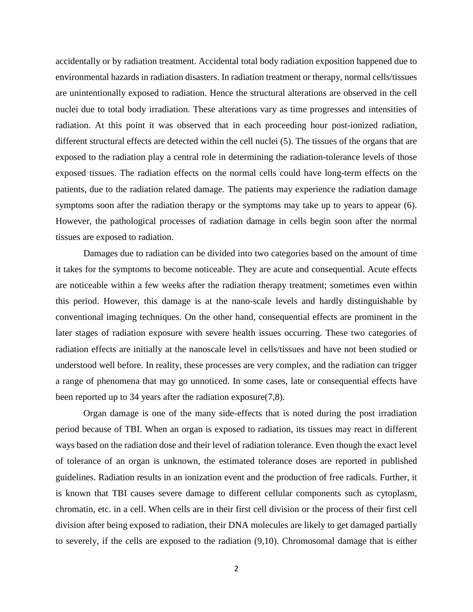accidentally or by radiation treatment. Accidental total body radiation exposition happened due to environmental hazards in radiation disasters. In radiation treatment or therapy, normal cells/tissues are unintentionally exposed to radiation. Hence the structural alterations are observed in the cell nuclei due to total body irradiation. These alterations vary as time progresses and intensities of radiation. At this point it was observed that in each proceeding hour post-ionized radiation, different structural effects are detected within the cell nuclei (5). The tissues of the organs that are exposed to the radiation play a central role in determining the radiation-tolerance levels of those exposed tissues. The radiation effects on the normal cells could have long-term effects on the patients, due to the radiation related damage. The patients may experience the radiation damage symptoms soon after the radiation therapy or the symptoms may take up to years to appear (6). However, the pathological processes of radiation damage in cells begin soon after the normal tissues are exposed to radiation.

Damages due to radiation can be divided into two categories based on the amount of time it takes for the symptoms to become noticeable. They are acute and consequential. Acute effects are noticeable within a few weeks after the radiation therapy treatment; sometimes even within this period. However, this damage is at the nano-scale levels and hardly distinguishable by conventional imaging techniques. On the other hand, consequential effects are prominent in the later stages of radiation exposure with severe health issues occurring. These two categories of radiation effects are initially at the nanoscale level in cells/tissues and have not been studied or understood well before. In reality, these processes are very complex, and the radiation can trigger a range of phenomena that may go unnoticed. In some cases, late or consequential effects have been reported up to 34 years after the radiation exposure(7,8).

Organ damage is one of the many side-effects that is noted during the post irradiation period because of TBI. When an organ is exposed to radiation, its tissues may react in different ways based on the radiation dose and their level of radiation tolerance. Even though the exact level of tolerance of an organ is unknown, the estimated tolerance doses are reported in published guidelines. Radiation results in an ionization event and the production of free radicals. Further, it is known that TBI causes severe damage to different cellular components such as cytoplasm, chromatin, etc. in a cell. When cells are in their first cell division or the process of their first cell division after being exposed to radiation, their DNA molecules are likely to get damaged partially to severely, if the cells are exposed to the radiation (9,10). Chromosomal damage that is either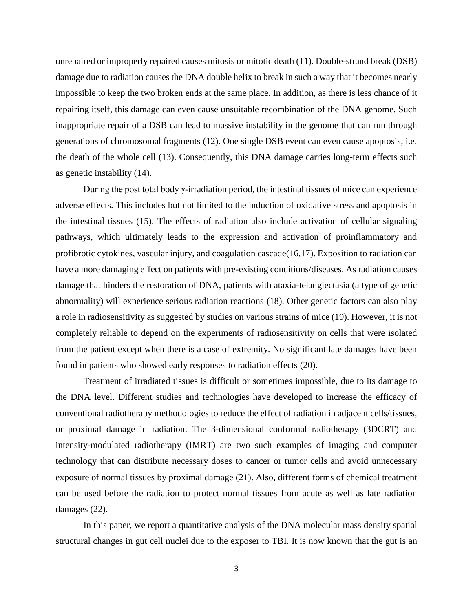unrepaired or improperly repaired causes mitosis or mitotic death (11). Double-strand break (DSB) damage due to radiation causes the DNA double helix to break in such a way that it becomes nearly impossible to keep the two broken ends at the same place. In addition, as there is less chance of it repairing itself, this damage can even cause unsuitable recombination of the DNA genome. Such inappropriate repair of a DSB can lead to massive instability in the genome that can run through generations of chromosomal fragments (12). One single DSB event can even cause apoptosis, i.e. the death of the whole cell (13). Consequently, this DNA damage carries long-term effects such as genetic instability (14).

During the post total body γ-irradiation period, the intestinal tissues of mice can experience adverse effects. This includes but not limited to the induction of oxidative stress and apoptosis in the intestinal tissues (15). The effects of radiation also include activation of cellular signaling pathways, which ultimately leads to the expression and activation of proinflammatory and profibrotic cytokines, vascular injury, and coagulation cascade(16,17). Exposition to radiation can have a more damaging effect on patients with pre-existing conditions/diseases. As radiation causes damage that hinders the restoration of DNA, patients with ataxia-telangiectasia (a type of genetic abnormality) will experience serious radiation reactions (18). Other genetic factors can also play a role in radiosensitivity as suggested by studies on various strains of mice (19). However, it is not completely reliable to depend on the experiments of radiosensitivity on cells that were isolated from the patient except when there is a case of extremity. No significant late damages have been found in patients who showed early responses to radiation effects (20).

Treatment of irradiated tissues is difficult or sometimes impossible, due to its damage to the DNA level. Different studies and technologies have developed to increase the efficacy of conventional radiotherapy methodologies to reduce the effect of radiation in adjacent cells/tissues, or proximal damage in radiation. The 3-dimensional conformal radiotherapy (3DCRT) and intensity-modulated radiotherapy (IMRT) are two such examples of imaging and computer technology that can distribute necessary doses to cancer or tumor cells and avoid unnecessary exposure of normal tissues by proximal damage (21). Also, different forms of chemical treatment can be used before the radiation to protect normal tissues from acute as well as late radiation damages (22).

In this paper, we report a quantitative analysis of the DNA molecular mass density spatial structural changes in gut cell nuclei due to the exposer to TBI. It is now known that the gut is an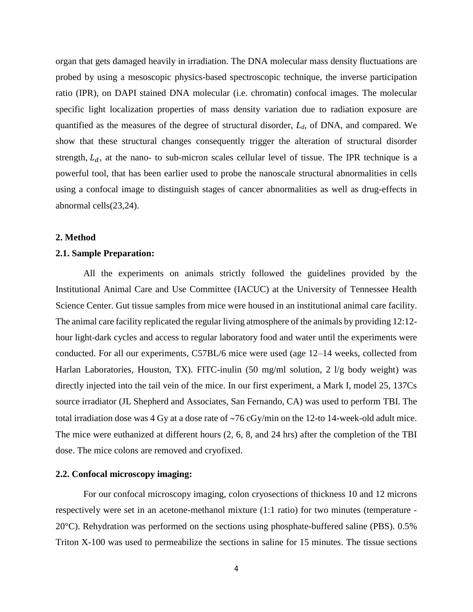organ that gets damaged heavily in irradiation. The DNA molecular mass density fluctuations are probed by using a mesoscopic physics-based spectroscopic technique, the inverse participation ratio (IPR), on DAPI stained DNA molecular (i.e. chromatin) confocal images. The molecular specific light localization properties of mass density variation due to radiation exposure are quantified as the measures of the degree of structural disorder, *Ld,* of DNA, and compared. We show that these structural changes consequently trigger the alteration of structural disorder strength,  $L_d$ , at the nano- to sub-micron scales cellular level of tissue. The IPR technique is a powerful tool, that has been earlier used to probe the nanoscale structural abnormalities in cells using a confocal image to distinguish stages of cancer abnormalities as well as drug-effects in abnormal cells(23,24).

#### **2. Method**

# **2.1. Sample Preparation:**

All the experiments on animals strictly followed the guidelines provided by the Institutional Animal Care and Use Committee (IACUC) at the University of Tennessee Health Science Center. Gut tissue samples from mice were housed in an institutional animal care facility. The animal care facility replicated the regular living atmosphere of the animals by providing 12:12 hour light-dark cycles and access to regular laboratory food and water until the experiments were conducted. For all our experiments, C57BL/6 mice were used (age 12–14 weeks, collected from Harlan Laboratories, Houston, TX). FITC-inulin (50 mg/ml solution, 2 l/g body weight) was directly injected into the tail vein of the mice. In our first experiment, a Mark I, model 25, 137Cs source irradiator (JL Shepherd and Associates, San Fernando, CA) was used to perform TBI. The total irradiation dose was 4 Gy at a dose rate of  $\sim$ 76 cGy/min on the 12-to 14-week-old adult mice. The mice were euthanized at different hours (2, 6, 8, and 24 hrs) after the completion of the TBI dose. The mice colons are removed and cryofixed.

# **2.2. Confocal microscopy imaging:**

For our confocal microscopy imaging, colon cryosections of thickness 10 and 12 microns respectively were set in an acetone-methanol mixture (1:1 ratio) for two minutes (temperature - 20°C). Rehydration was performed on the sections using phosphate-buffered saline (PBS). 0.5% Triton X-100 was used to permeabilize the sections in saline for 15 minutes. The tissue sections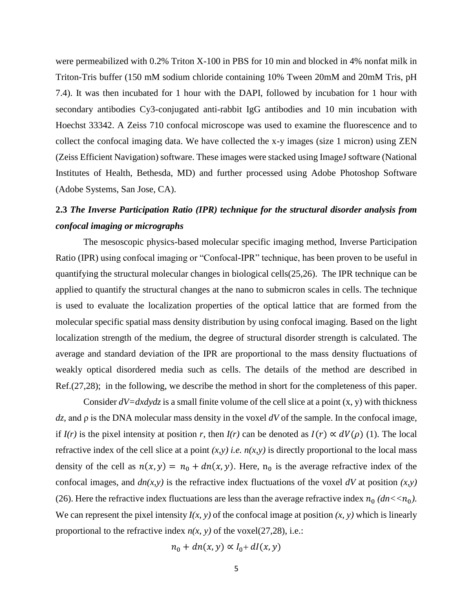were permeabilized with 0.2% Triton X-100 in PBS for 10 min and blocked in 4% nonfat milk in Triton-Tris buffer (150 mM sodium chloride containing 10% Tween 20mM and 20mM Tris, pH 7.4). It was then incubated for 1 hour with the DAPI, followed by incubation for 1 hour with secondary antibodies Cy3-conjugated anti-rabbit IgG antibodies and 10 min incubation with Hoechst 33342. A Zeiss 710 confocal microscope was used to examine the fluorescence and to collect the confocal imaging data. We have collected the x-y images (size 1 micron) using ZEN (Zeiss Efficient Navigation) software. These images were stacked using ImageJ software (National Institutes of Health, Bethesda, MD) and further processed using Adobe Photoshop Software (Adobe Systems, San Jose, CA).

# **2.3** *The Inverse Participation Ratio (IPR) technique for the structural disorder analysis from confocal imaging or micrographs*

The mesoscopic physics-based molecular specific imaging method, Inverse Participation Ratio (IPR) using confocal imaging or "Confocal-IPR" technique, has been proven to be useful in quantifying the structural molecular changes in biological cells(25,26). The IPR technique can be applied to quantify the structural changes at the nano to submicron scales in cells. The technique is used to evaluate the localization properties of the optical lattice that are formed from the molecular specific spatial mass density distribution by using confocal imaging. Based on the light localization strength of the medium, the degree of structural disorder strength is calculated. The average and standard deviation of the IPR are proportional to the mass density fluctuations of weakly optical disordered media such as cells. The details of the method are described in Ref.(27,28); in the following, we describe the method in short for the completeness of this paper.

Consider  $dV = dxdydz$  is a small finite volume of the cell slice at a point  $(x, y)$  with thickness *dz,* and ρ is the DNA molecular mass density in the voxel *dV* of the sample. In the confocal image, if *I(r)* is the pixel intensity at position *r*, then *I(r)* can be denoted as  $I(r) \propto dV(\rho)$  (1). The local refractive index of the cell slice at a point  $(x, y)$  *i.e.*  $n(x, y)$  is directly proportional to the local mass density of the cell as  $n(x, y) = n_0 + dn(x, y)$ . Here,  $n_0$  is the average refractive index of the confocal images, and  $dn(x, y)$  is the refractive index fluctuations of the voxel  $dV$  at position  $(x, y)$ (26). Here the refractive index fluctuations are less than the average refractive index  $n_0$  ( $dn < n_0$ ). We can represent the pixel intensity  $I(x, y)$  of the confocal image at position  $(x, y)$  which is linearly proportional to the refractive index  $n(x, y)$  of the voxel(27,28), i.e.:

$$
n_0 + dn(x, y) \propto I_0 + dl(x, y)
$$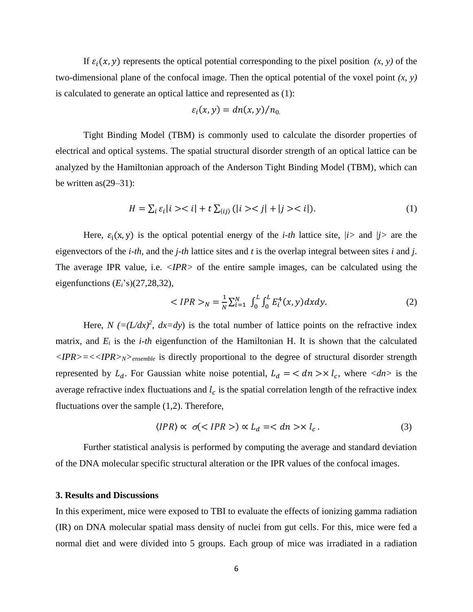If  $\varepsilon_i(x, y)$  represents the optical potential corresponding to the pixel position  $(x, y)$  of the two-dimensional plane of the confocal image. Then the optical potential of the voxel point *(x, y)* is calculated to generate an optical lattice and represented as (1):

$$
\varepsilon_i(x,y) = dn(x,y)/n_0
$$

Tight Binding Model (TBM) is commonly used to calculate the disorder properties of electrical and optical systems. The spatial structural disorder strength of an optical lattice can be analyzed by the Hamiltonian approach of the Anderson Tight Binding Model (TBM), which can be written as(29–31):

$$
H = \sum_{i} \varepsilon_{i} |i\rangle < i| + t \sum_{\langle ij \rangle} (|i\rangle < j| + |j\rangle < i|). \tag{1}
$$

Here,  $\varepsilon_i(x, y)$  is the optical potential energy of the *i-th* lattice site, */i>* and */j>* are the eigenvectors of the *i-th*, and the *j-th* lattice sites and *t* is the overlap integral between sites *i* and *j*. The average IPR value, i.e. *<IPR>* of the entire sample images, can be calculated using the eigenfunctions  $(E_i$ 's) $(27,28,32)$ ,

$$
\langle IPR \rangle_N = \frac{1}{N} \sum_{i=1}^N \int_0^L \int_0^L E_i^4(x, y) dx dy. \tag{2}
$$

Here,  $N = (L/dx)^2$ ,  $dx = dy$ ) is the total number of lattice points on the refractive index matrix, and *E<sup>i</sup>* is the *i-th* eigenfunction of the Hamiltonian H. It is shown that the calculated *<IPR>=<<IPR>N>ensemble* is directly proportional to the degree of structural disorder strength represented by  $L_d$ . For Gaussian white noise potential,  $L_d = \langle dn \rangle \times l_c$ , where  $\langle dn \rangle$  is the average refractive index fluctuations and  $l_c$  is the spatial correlation length of the refractive index fluctuations over the sample (1,2). Therefore,

$$
\langle IPR \rangle \propto \sigma \langle IPR \rangle \propto L_d = \langle dn \rangle \langle l_c. \tag{3}
$$

Further statistical analysis is performed by computing the average and standard deviation of the DNA molecular specific structural alteration or the IPR values of the confocal images.

#### **3. Results and Discussions**

In this experiment, mice were exposed to TBI to evaluate the effects of ionizing gamma radiation (IR) on DNA molecular spatial mass density of nuclei from gut cells. For this, mice were fed a normal diet and were divided into 5 groups. Each group of mice was irradiated in a radiation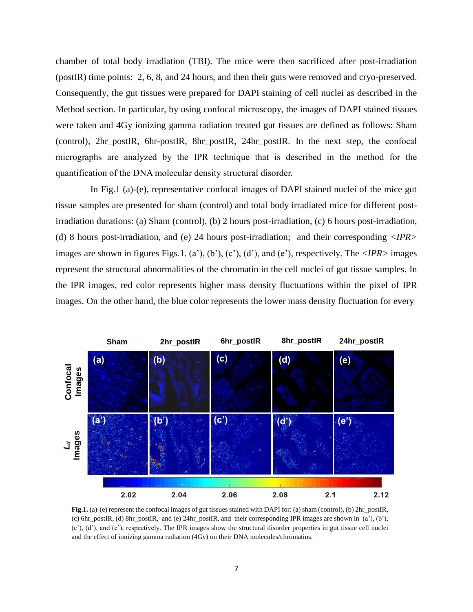chamber of total body irradiation (TBI). The mice were then sacrificed after post-irradiation (postIR) time points: 2, 6, 8, and 24 hours, and then their guts were removed and cryo-preserved. Consequently, the gut tissues were prepared for DAPI staining of cell nuclei as described in the Method section. In particular, by using confocal microscopy, the images of DAPI stained tissues were taken and 4Gy ionizing gamma radiation treated gut tissues are defined as follows: Sham (control), 2hr\_postIR, 6hr-postIR, 8hr\_postIR, 24hr\_postIR. In the next step, the confocal micrographs are analyzed by the IPR technique that is described in the method for the quantification of the DNA molecular density structural disorder.

In Fig.1 (a)-(e), representative confocal images of DAPI stained nuclei of the mice gut tissue samples are presented for sham (control) and total body irradiated mice for different postirradiation durations: (a) Sham (control), (b) 2 hours post-irradiation, (c) 6 hours post-irradiation, (d) 8 hours post-irradiation, and (e) 24 hours post-irradiation; and their corresponding *<IPR>* images are shown in figures Figs.1. (a'), (b'), (c'), (d'), and (e'), respectively. The *<IPR>* images represent the structural abnormalities of the chromatin in the cell nuclei of gut tissue samples. In the IPR images, red color represents higher mass density fluctuations within the pixel of IPR images. On the other hand, the blue color represents the lower mass density fluctuation for every



**Fig.1.** (a)-(e) represent the confocal images of gut tissues stained with DAPI for: (a) sham (control), (b) 2hr\_postIR, (c) 6hr\_postIR, (d) 8hr\_postIR, and (e) 24hr\_postIR, and their corresponding IPR images are shown in (a'), (b'), (c'), (d'), and (e'), respectively. The IPR images show the structural disorder properties in gut tissue cell nuclei and the effect of ionizing gamma radiation (4Gy) on their DNA molecules/chromatins.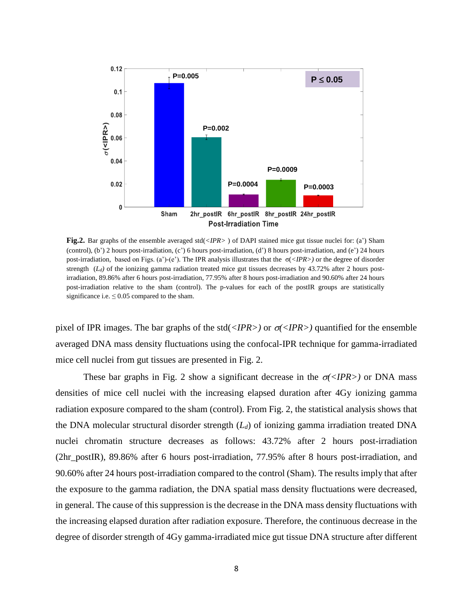

**Fig.2.** Bar graphs of the ensemble averaged std(*<IPR>* ) of DAPI stained mice gut tissue nuclei for: (a') Sham (control), (b') 2 hours post-irradiation, (c') 6 hours post-irradiation, (d') 8 hours post-irradiation, and (e') 24 hours post-irradiation, based on Figs. (a')-(e'). The IPR analysis illustrates that the σ(*<IPR>)* or the degree of disorder strength (*L<sub>d</sub>*) of the ionizing gamma radiation treated mice gut tissues decreases by 43.72% after 2 hours postirradiation, 89.86% after 6 hours post-irradiation, 77.95% after 8 hours post-irradiation and 90.60% after 24 hours post-irradiation relative to the sham (control). The p-values for each of the postIR groups are statistically significance i.e.  $\leq 0.05$  compared to the sham.

pixel of IPR images. The bar graphs of the std( $\langle IPR \rangle$ ) or  $\sigma \langle IPR \rangle$ ) quantified for the ensemble averaged DNA mass density fluctuations using the confocal-IPR technique for gamma-irradiated mice cell nuclei from gut tissues are presented in Fig. 2.

These bar graphs in Fig. 2 show a significant decrease in the  $\sigma$  <*IPR*>) or DNA mass densities of mice cell nuclei with the increasing elapsed duration after 4Gy ionizing gamma radiation exposure compared to the sham (control). From Fig. 2, the statistical analysis shows that the DNA molecular structural disorder strength (*Ld*) of ionizing gamma irradiation treated DNA nuclei chromatin structure decreases as follows: 43.72% after 2 hours post-irradiation (2hr\_postIR), 89.86% after 6 hours post-irradiation, 77.95% after 8 hours post-irradiation, and 90.60% after 24 hours post-irradiation compared to the control (Sham). The results imply that after the exposure to the gamma radiation, the DNA spatial mass density fluctuations were decreased, in general. The cause of this suppression is the decrease in the DNA mass density fluctuations with the increasing elapsed duration after radiation exposure. Therefore, the continuous decrease in the degree of disorder strength of 4Gy gamma-irradiated mice gut tissue DNA structure after different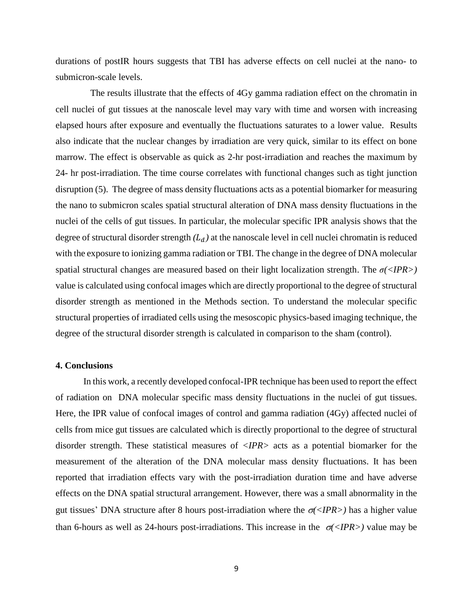durations of postIR hours suggests that TBI has adverse effects on cell nuclei at the nano- to submicron-scale levels.

The results illustrate that the effects of 4Gy gamma radiation effect on the chromatin in cell nuclei of gut tissues at the nanoscale level may vary with time and worsen with increasing elapsed hours after exposure and eventually the fluctuations saturates to a lower value. Results also indicate that the nuclear changes by irradiation are very quick, similar to its effect on bone marrow. The effect is observable as quick as 2-hr post-irradiation and reaches the maximum by 24- hr post-irradiation. The time course correlates with functional changes such as tight junction disruption (5). The degree of mass density fluctuations acts as a potential biomarker for measuring the nano to submicron scales spatial structural alteration of DNA mass density fluctuations in the nuclei of the cells of gut tissues. In particular, the molecular specific IPR analysis shows that the degree of structural disorder strength  $(L_d)$  at the nanoscale level in cell nuclei chromatin is reduced with the exposure to ionizing gamma radiation or TBI. The change in the degree of DNA molecular spatial structural changes are measured based on their light localization strength. The *σ(<IPR>)* value is calculated using confocal images which are directly proportional to the degree of structural disorder strength as mentioned in the Methods section. To understand the molecular specific structural properties of irradiated cells using the mesoscopic physics-based imaging technique, the degree of the structural disorder strength is calculated in comparison to the sham (control).

# **4. Conclusions**

In this work, a recently developed confocal-IPR technique has been used to report the effect of radiation on DNA molecular specific mass density fluctuations in the nuclei of gut tissues. Here, the IPR value of confocal images of control and gamma radiation (4Gy) affected nuclei of cells from mice gut tissues are calculated which is directly proportional to the degree of structural disorder strength. These statistical measures of *<IPR>* acts as a potential biomarker for the measurement of the alteration of the DNA molecular mass density fluctuations. It has been reported that irradiation effects vary with the post-irradiation duration time and have adverse effects on the DNA spatial structural arrangement. However, there was a small abnormality in the gut tissues' DNA structure after 8 hours post-irradiation where the  $\sigma \langle IPR \rangle$  has a higher value than 6-hours as well as 24-hours post-irradiations. This increase in the  $\sigma \langle IPR \rangle$  value may be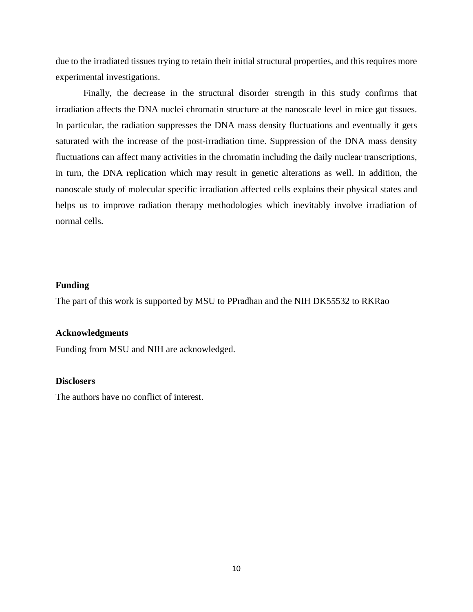due to the irradiated tissues trying to retain their initial structural properties, and this requires more experimental investigations.

Finally, the decrease in the structural disorder strength in this study confirms that irradiation affects the DNA nuclei chromatin structure at the nanoscale level in mice gut tissues. In particular, the radiation suppresses the DNA mass density fluctuations and eventually it gets saturated with the increase of the post-irradiation time. Suppression of the DNA mass density fluctuations can affect many activities in the chromatin including the daily nuclear transcriptions, in turn, the DNA replication which may result in genetic alterations as well. In addition, the nanoscale study of molecular specific irradiation affected cells explains their physical states and helps us to improve radiation therapy methodologies which inevitably involve irradiation of normal cells.

# **Funding**

The part of this work is supported by MSU to PPradhan and the NIH DK55532 to RKRao

# **Acknowledgments**

Funding from MSU and NIH are acknowledged.

# **Disclosers**

The authors have no conflict of interest.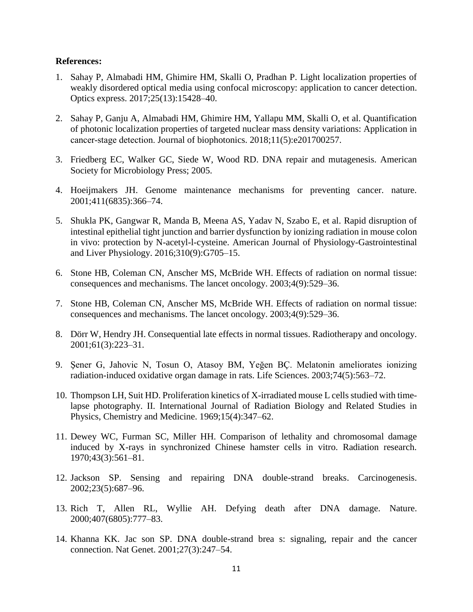# **References:**

- 1. Sahay P, Almabadi HM, Ghimire HM, Skalli O, Pradhan P. Light localization properties of weakly disordered optical media using confocal microscopy: application to cancer detection. Optics express. 2017;25(13):15428–40.
- 2. Sahay P, Ganju A, Almabadi HM, Ghimire HM, Yallapu MM, Skalli O, et al. Quantification of photonic localization properties of targeted nuclear mass density variations: Application in cancer-stage detection. Journal of biophotonics. 2018;11(5):e201700257.
- 3. Friedberg EC, Walker GC, Siede W, Wood RD. DNA repair and mutagenesis. American Society for Microbiology Press; 2005.
- 4. Hoeijmakers JH. Genome maintenance mechanisms for preventing cancer. nature. 2001;411(6835):366–74.
- 5. Shukla PK, Gangwar R, Manda B, Meena AS, Yadav N, Szabo E, et al. Rapid disruption of intestinal epithelial tight junction and barrier dysfunction by ionizing radiation in mouse colon in vivo: protection by N-acetyl-l-cysteine. American Journal of Physiology-Gastrointestinal and Liver Physiology. 2016;310(9):G705–15.
- 6. Stone HB, Coleman CN, Anscher MS, McBride WH. Effects of radiation on normal tissue: consequences and mechanisms. The lancet oncology. 2003;4(9):529–36.
- 7. Stone HB, Coleman CN, Anscher MS, McBride WH. Effects of radiation on normal tissue: consequences and mechanisms. The lancet oncology. 2003;4(9):529–36.
- 8. Dörr W, Hendry JH. Consequential late effects in normal tissues. Radiotherapy and oncology. 2001;61(3):223–31.
- 9. Şener G, Jahovic N, Tosun O, Atasoy BM, Yeğen BÇ. Melatonin ameliorates ionizing radiation-induced oxidative organ damage in rats. Life Sciences. 2003;74(5):563–72.
- 10. Thompson LH, Suit HD. Proliferation kinetics of X-irradiated mouse L cells studied with timelapse photography. II. International Journal of Radiation Biology and Related Studies in Physics, Chemistry and Medicine. 1969;15(4):347–62.
- 11. Dewey WC, Furman SC, Miller HH. Comparison of lethality and chromosomal damage induced by X-rays in synchronized Chinese hamster cells in vitro. Radiation research. 1970;43(3):561–81.
- 12. Jackson SP. Sensing and repairing DNA double-strand breaks. Carcinogenesis. 2002;23(5):687–96.
- 13. Rich T, Allen RL, Wyllie AH. Defying death after DNA damage. Nature. 2000;407(6805):777–83.
- 14. Khanna KK. Jac son SP. DNA double-strand brea s: signaling, repair and the cancer connection. Nat Genet. 2001;27(3):247–54.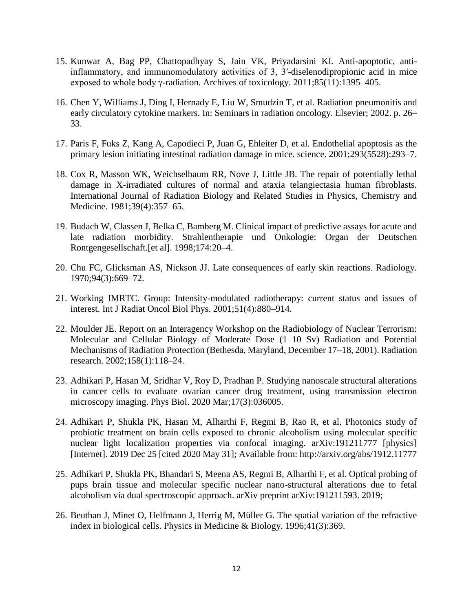- 15. Kunwar A, Bag PP, Chattopadhyay S, Jain VK, Priyadarsini KI. Anti-apoptotic, antiinflammatory, and immunomodulatory activities of 3, 3′-diselenodipropionic acid in mice exposed to whole body γ-radiation. Archives of toxicology. 2011;85(11):1395–405.
- 16. Chen Y, Williams J, Ding I, Hernady E, Liu W, Smudzin T, et al. Radiation pneumonitis and early circulatory cytokine markers. In: Seminars in radiation oncology. Elsevier; 2002. p. 26– 33.
- 17. Paris F, Fuks Z, Kang A, Capodieci P, Juan G, Ehleiter D, et al. Endothelial apoptosis as the primary lesion initiating intestinal radiation damage in mice. science. 2001;293(5528):293–7.
- 18. Cox R, Masson WK, Weichselbaum RR, Nove J, Little JB. The repair of potentially lethal damage in X-irradiated cultures of normal and ataxia telangiectasia human fibroblasts. International Journal of Radiation Biology and Related Studies in Physics, Chemistry and Medicine. 1981;39(4):357–65.
- 19. Budach W, Classen J, Belka C, Bamberg M. Clinical impact of predictive assays for acute and late radiation morbidity. Strahlentherapie und Onkologie: Organ der Deutschen Rontgengesellschaft.[et al]. 1998;174:20–4.
- 20. Chu FC, Glicksman AS, Nickson JJ. Late consequences of early skin reactions. Radiology. 1970;94(3):669–72.
- 21. Working IMRTC. Group: Intensity-modulated radiotherapy: current status and issues of interest. Int J Radiat Oncol Biol Phys. 2001;51(4):880–914.
- 22. Moulder JE. Report on an Interagency Workshop on the Radiobiology of Nuclear Terrorism: Molecular and Cellular Biology of Moderate Dose (1–10 Sv) Radiation and Potential Mechanisms of Radiation Protection (Bethesda, Maryland, December 17–18, 2001). Radiation research. 2002;158(1):118–24.
- 23. Adhikari P, Hasan M, Sridhar V, Roy D, Pradhan P. Studying nanoscale structural alterations in cancer cells to evaluate ovarian cancer drug treatment, using transmission electron microscopy imaging. Phys Biol. 2020 Mar;17(3):036005.
- 24. Adhikari P, Shukla PK, Hasan M, Alharthi F, Regmi B, Rao R, et al. Photonics study of probiotic treatment on brain cells exposed to chronic alcoholism using molecular specific nuclear light localization properties via confocal imaging. arXiv:191211777 [physics] [Internet]. 2019 Dec 25 [cited 2020 May 31]; Available from: http://arxiv.org/abs/1912.11777
- 25. Adhikari P, Shukla PK, Bhandari S, Meena AS, Regmi B, Alharthi F, et al. Optical probing of pups brain tissue and molecular specific nuclear nano-structural alterations due to fetal alcoholism via dual spectroscopic approach. arXiv preprint arXiv:191211593. 2019;
- 26. Beuthan J, Minet O, Helfmann J, Herrig M, Müller G. The spatial variation of the refractive index in biological cells. Physics in Medicine & Biology. 1996;41(3):369.